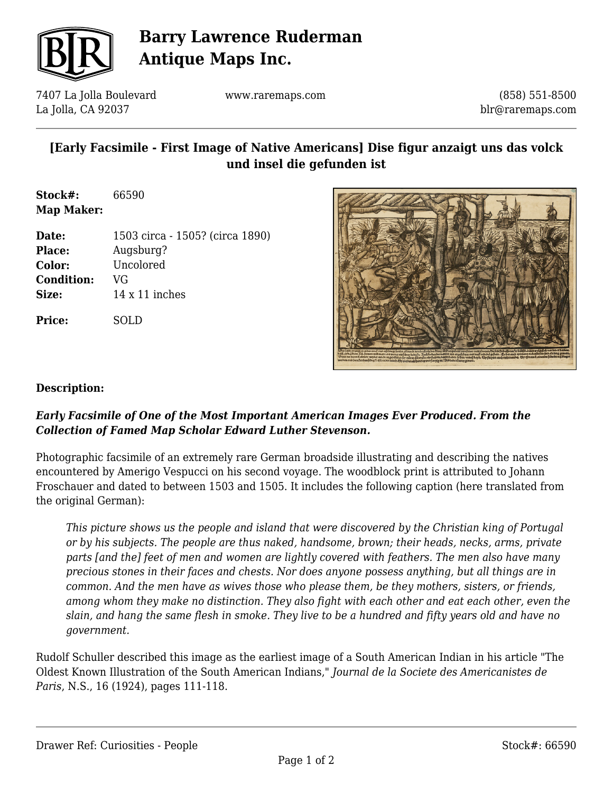

# **Barry Lawrence Ruderman Antique Maps Inc.**

7407 La Jolla Boulevard La Jolla, CA 92037

www.raremaps.com

(858) 551-8500 blr@raremaps.com

### **[Early Facsimile - First Image of Native Americans] Dise figur anzaigt uns das volck und insel die gefunden ist**

**Stock#:** 66590 **Map Maker:**

| Date:             | 1503 circa - 1505? (circa 1890) |
|-------------------|---------------------------------|
| <b>Place:</b>     | Augsburg?                       |
| Color:            | Uncolored                       |
| <b>Condition:</b> | VG                              |
| Size:             | $14 \times 11$ inches           |
| <b>Price:</b>     |                                 |



#### **Description:**

#### *Early Facsimile of One of the Most Important American Images Ever Produced. From the Collection of Famed Map Scholar Edward Luther Stevenson.*

Photographic facsimile of an extremely rare German broadside illustrating and describing the natives encountered by Amerigo Vespucci on his second voyage. The woodblock print is attributed to Johann Froschauer and dated to between 1503 and 1505. It includes the following caption (here translated from the original German):

*This picture shows us the people and island that were discovered by the Christian king of Portugal or by his subjects. The people are thus naked, handsome, brown; their heads, necks, arms, private parts [and the] feet of men and women are lightly covered with feathers. The men also have many precious stones in their faces and chests. Nor does anyone possess anything, but all things are in common. And the men have as wives those who please them, be they mothers, sisters, or friends, among whom they make no distinction. They also fight with each other and eat each other, even the slain, and hang the same flesh in smoke. They live to be a hundred and fifty years old and have no government.*

Rudolf Schuller described this image as the earliest image of a South American Indian in his article "The Oldest Known Illustration of the South American Indians," *Journal de la Societe des Americanistes de Paris*, N.S., 16 (1924), pages 111-118.